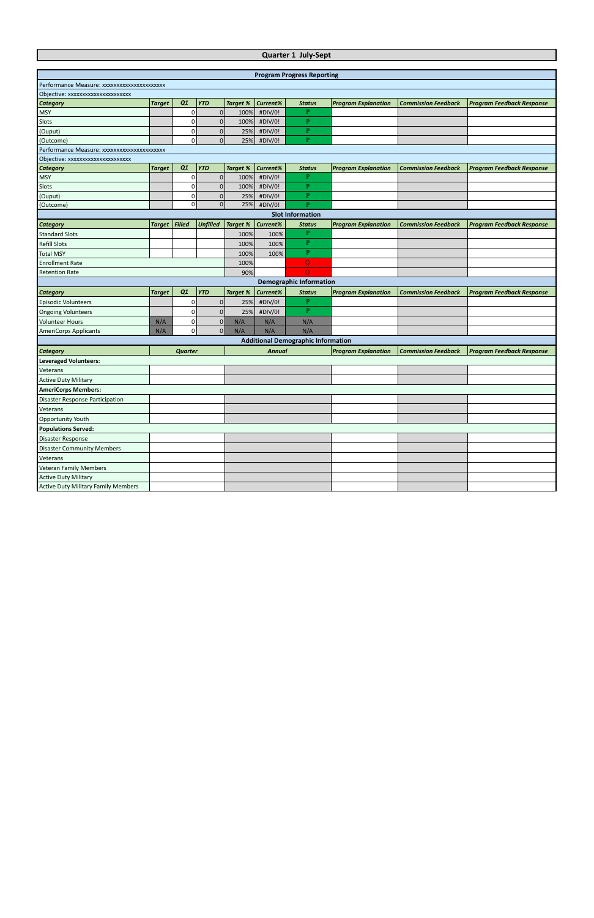## **Quarter 1 July-Sept**

|                                            |               |                |                 |                 |               | <b>Program Progress Reporting</b>         |                            |                            |                                  |
|--------------------------------------------|---------------|----------------|-----------------|-----------------|---------------|-------------------------------------------|----------------------------|----------------------------|----------------------------------|
| Performance Measure: xxxxxxxxxxxxxxxxxxxxx |               |                |                 |                 |               |                                           |                            |                            |                                  |
| Objective: xxxxxxxxxxxxxxxxxxxx            |               |                |                 |                 |               |                                           |                            |                            |                                  |
| <b>Category</b>                            | <b>Target</b> | Q1             | <b>YTD</b>      | <b>Target %</b> | Current%      | <b>Status</b>                             | <b>Program Explanation</b> | <b>Commission Feedback</b> | <b>Program Feedback Response</b> |
| <b>MSY</b>                                 |               | 0              | $\mathbf 0$     | 100%            | #DIV/0!       | P                                         |                            |                            |                                  |
| Slots                                      |               | 0              | $\pmb{0}$       | 100%            | #DIV/0!       | P                                         |                            |                            |                                  |
| (Ouput)                                    |               | 0              | $\pmb{0}$       | 25%             | #DIV/0!       | P                                         |                            |                            |                                  |
| (Outcome)                                  |               | 0              | $\mathbf 0$     | 25%             | #DIV/0!       | $\mathbf{P}$                              |                            |                            |                                  |
| Performance Measure: xxxxxxxxxxxxxxxxxxxxx |               |                |                 |                 |               |                                           |                            |                            |                                  |
| Objective: xxxxxxxxxxxxxxxxxxxxx           |               |                |                 |                 |               |                                           |                            |                            |                                  |
| <b>Category</b>                            | <b>Target</b> | Q1             | <b>YTD</b>      | <b>Target %</b> | Current%      | <b>Status</b>                             | <b>Program Explanation</b> | <b>Commission Feedback</b> | <b>Program Feedback Response</b> |
| <b>MSY</b>                                 |               | 0              | $\pmb{0}$       | 100%            | #DIV/0!       | P                                         |                            |                            |                                  |
| Slots                                      |               | 0              | $\mathbf 0$     | 100%            | #DIV/0!       | $\mathbf{P}$                              |                            |                            |                                  |
| (Ouput)                                    |               | 0              | $\pmb{0}$       | 25%             | #DIV/0!       | P                                         |                            |                            |                                  |
| (Outcome)                                  |               | 0              | $\mathbf{0}$    | 25%             | #DIV/0!       | $\overline{P}$                            |                            |                            |                                  |
|                                            |               |                |                 |                 |               | <b>Slot Information</b>                   |                            |                            |                                  |
| Category                                   | <b>Target</b> | Filled         | <b>Unfilled</b> | <b>Target %</b> | Current%      | <b>Status</b>                             | <b>Program Explanation</b> | <b>Commission Feedback</b> | <b>Program Feedback Response</b> |
| <b>Standard Slots</b>                      |               |                |                 | 100%            | 100%          | $\overline{P}$                            |                            |                            |                                  |
| <b>Refill Slots</b>                        |               |                |                 | 100%            | 100%          | P                                         |                            |                            |                                  |
| <b>Total MSY</b>                           |               |                |                 | 100%            | 100%          | $\mathbf{P}$                              |                            |                            |                                  |
| <b>Enrollment Rate</b>                     |               |                |                 | 100%            |               | Q                                         |                            |                            |                                  |
| <b>Retention Rate</b>                      |               |                |                 | 90%             |               | $\overline{O}$                            |                            |                            |                                  |
|                                            |               |                |                 |                 |               | <b>Demographic Information</b>            |                            |                            |                                  |
| Category                                   | <b>Target</b> | Q1             | <b>YTD</b>      | <b>Target %</b> | Current%      | <b>Status</b>                             | <b>Program Explanation</b> | <b>Commission Feedback</b> | <b>Program Feedback Response</b> |
| <b>Episodic Volunteers</b>                 |               | 0              | $\mathbf 0$     | 25%             | #DIV/0!       | $\mathbf{P}$                              |                            |                            |                                  |
| <b>Ongoing Volunteers</b>                  |               | 0              | $\pmb{0}$       | 25%             | #DIV/0!       | $\mathbf{P}$                              |                            |                            |                                  |
| <b>Volunteer Hours</b>                     | N/A           | 0              | $\mathbf 0$     | N/A             | N/A           | N/A                                       |                            |                            |                                  |
| <b>AmeriCorps Applicants</b>               | N/A           | 0              | $\mathbf{0}$    | N/A             | N/A           | N/A                                       |                            |                            |                                  |
|                                            |               |                |                 |                 |               | <b>Additional Demographic Information</b> |                            |                            |                                  |
| Category                                   |               | <b>Quarter</b> |                 |                 | <b>Annual</b> |                                           | <b>Program Explanation</b> | <b>Commission Feedback</b> | <b>Program Feedback Response</b> |
| <b>Leveraged Volunteers:</b>               |               |                |                 |                 |               |                                           |                            |                            |                                  |
| Veterans                                   |               |                |                 |                 |               |                                           |                            |                            |                                  |
| <b>Active Duty Military</b>                |               |                |                 |                 |               |                                           |                            |                            |                                  |
| <b>AmeriCorps Members:</b>                 |               |                |                 |                 |               |                                           |                            |                            |                                  |
| Disaster Response Participation            |               |                |                 |                 |               |                                           |                            |                            |                                  |
| Veterans                                   |               |                |                 |                 |               |                                           |                            |                            |                                  |
| Opportunity Youth                          |               |                |                 |                 |               |                                           |                            |                            |                                  |
| <b>Populations Served:</b>                 |               |                |                 |                 |               |                                           |                            |                            |                                  |
| <b>Disaster Response</b>                   |               |                |                 |                 |               |                                           |                            |                            |                                  |
| <b>Disaster Community Members</b>          |               |                |                 |                 |               |                                           |                            |                            |                                  |
| Veterans                                   |               |                |                 |                 |               |                                           |                            |                            |                                  |
| <b>Veteran Family Members</b>              |               |                |                 |                 |               |                                           |                            |                            |                                  |
| <b>Active Duty Military</b>                |               |                |                 |                 |               |                                           |                            |                            |                                  |
| <b>Active Duty Military Family Members</b> |               |                |                 |                 |               |                                           |                            |                            |                                  |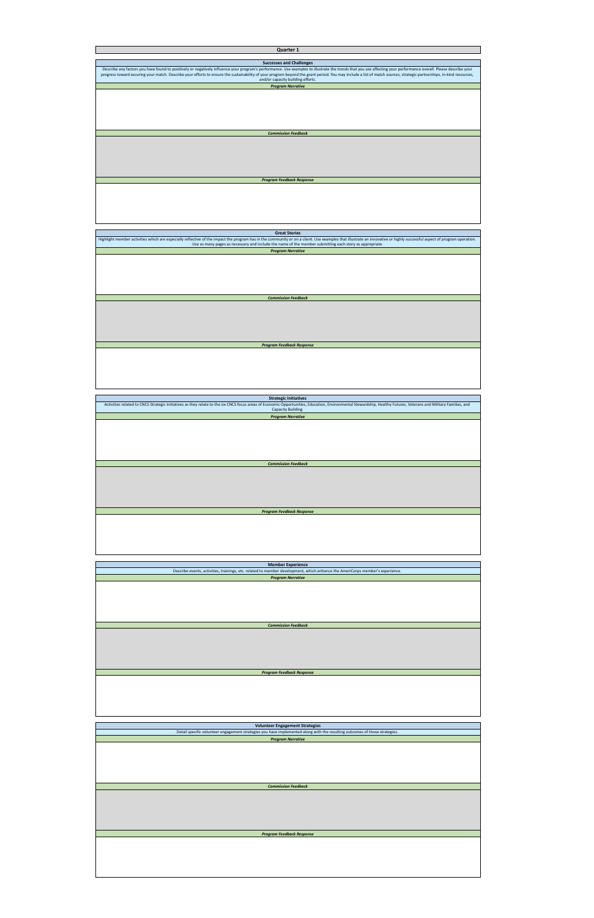| Quarter 1                                                                                                                                                                                                                                                 |
|-----------------------------------------------------------------------------------------------------------------------------------------------------------------------------------------------------------------------------------------------------------|
|                                                                                                                                                                                                                                                           |
| <b>Successes and Challenges</b>                                                                                                                                                                                                                           |
| Describe any factors you have found to positively or negatively influence your program's performance. Use examples to illustrate the trends that you see affecting your performance overall. Please describe your                                         |
| progress toward securing your match. Describe your efforts to ensure the sustainability of your program beyond the grant period. You may include a list of match sources, strategic partnerships, in-kind resources,<br>and/or capacity building efforts. |
| <b>Program Narrative</b>                                                                                                                                                                                                                                  |
|                                                                                                                                                                                                                                                           |
|                                                                                                                                                                                                                                                           |
|                                                                                                                                                                                                                                                           |
|                                                                                                                                                                                                                                                           |
|                                                                                                                                                                                                                                                           |
|                                                                                                                                                                                                                                                           |
|                                                                                                                                                                                                                                                           |
| <b>Commission Feedback</b>                                                                                                                                                                                                                                |
|                                                                                                                                                                                                                                                           |
|                                                                                                                                                                                                                                                           |
|                                                                                                                                                                                                                                                           |
|                                                                                                                                                                                                                                                           |
|                                                                                                                                                                                                                                                           |
|                                                                                                                                                                                                                                                           |
| <b>Program Feedback Response</b>                                                                                                                                                                                                                          |
|                                                                                                                                                                                                                                                           |
|                                                                                                                                                                                                                                                           |
|                                                                                                                                                                                                                                                           |
|                                                                                                                                                                                                                                                           |
|                                                                                                                                                                                                                                                           |
|                                                                                                                                                                                                                                                           |
|                                                                                                                                                                                                                                                           |
| <b>Great Stories</b>                                                                                                                                                                                                                                      |
| Highlight member activities which are especially reflective of the impact the program has in the community or on a client. Use examples that illustrate an innovative or highly successful aspect of program operation.                                   |
| Use as many pages as necessary and include the name of the member submitting each story as appropriate.                                                                                                                                                   |
| <b>Program Narrative</b>                                                                                                                                                                                                                                  |
|                                                                                                                                                                                                                                                           |
|                                                                                                                                                                                                                                                           |
|                                                                                                                                                                                                                                                           |
|                                                                                                                                                                                                                                                           |
|                                                                                                                                                                                                                                                           |
|                                                                                                                                                                                                                                                           |
|                                                                                                                                                                                                                                                           |
| <b>Commission Feedback</b>                                                                                                                                                                                                                                |
|                                                                                                                                                                                                                                                           |
|                                                                                                                                                                                                                                                           |
|                                                                                                                                                                                                                                                           |
|                                                                                                                                                                                                                                                           |
|                                                                                                                                                                                                                                                           |
|                                                                                                                                                                                                                                                           |
| <b>Program Feedback Response</b>                                                                                                                                                                                                                          |
|                                                                                                                                                                                                                                                           |
|                                                                                                                                                                                                                                                           |
|                                                                                                                                                                                                                                                           |
|                                                                                                                                                                                                                                                           |
|                                                                                                                                                                                                                                                           |
|                                                                                                                                                                                                                                                           |
|                                                                                                                                                                                                                                                           |
|                                                                                                                                                                                                                                                           |
| <b>Strategic Initiatives</b><br>Activities related to CNCS Strategic Initiatives as they relate to the six CNCS focus areas of Economic Opportunities, Education, Environmental Stewardship, Healthy Futures, Veterans and Military Families, and         |
| Capacity Building.                                                                                                                                                                                                                                        |
| <b>Program Narrative</b>                                                                                                                                                                                                                                  |
|                                                                                                                                                                                                                                                           |
|                                                                                                                                                                                                                                                           |
|                                                                                                                                                                                                                                                           |
|                                                                                                                                                                                                                                                           |
|                                                                                                                                                                                                                                                           |
|                                                                                                                                                                                                                                                           |
|                                                                                                                                                                                                                                                           |
| <b>Commission Feedback</b>                                                                                                                                                                                                                                |
|                                                                                                                                                                                                                                                           |
|                                                                                                                                                                                                                                                           |
|                                                                                                                                                                                                                                                           |
|                                                                                                                                                                                                                                                           |
|                                                                                                                                                                                                                                                           |
|                                                                                                                                                                                                                                                           |
| <b>Program Feedback Response</b>                                                                                                                                                                                                                          |
|                                                                                                                                                                                                                                                           |
|                                                                                                                                                                                                                                                           |
|                                                                                                                                                                                                                                                           |
|                                                                                                                                                                                                                                                           |
|                                                                                                                                                                                                                                                           |
|                                                                                                                                                                                                                                                           |
|                                                                                                                                                                                                                                                           |
|                                                                                                                                                                                                                                                           |
| <b>Member Experience</b>                                                                                                                                                                                                                                  |
| Describe events, activities, trainings, etc. related to member development, which enhance the AmeriCorps member's experience.                                                                                                                             |
| <b>Program Narrative</b>                                                                                                                                                                                                                                  |
|                                                                                                                                                                                                                                                           |
|                                                                                                                                                                                                                                                           |
|                                                                                                                                                                                                                                                           |
|                                                                                                                                                                                                                                                           |
|                                                                                                                                                                                                                                                           |
|                                                                                                                                                                                                                                                           |
| <b>Commission Feedback</b>                                                                                                                                                                                                                                |

| <b>Program Feedback Response</b> |  |
|----------------------------------|--|
|                                  |  |
|                                  |  |
|                                  |  |
|                                  |  |
|                                  |  |
|                                  |  |

| <b>Volunteer Engagement Strategies</b>                                                                                      |
|-----------------------------------------------------------------------------------------------------------------------------|
| Detail specific volunteer engagement strategies you have implemented along with the resulting outcomes of those strategies. |
| <b>Program Narrative</b>                                                                                                    |
|                                                                                                                             |
|                                                                                                                             |
|                                                                                                                             |
|                                                                                                                             |
|                                                                                                                             |
|                                                                                                                             |
| <b>Commission Feedback</b>                                                                                                  |
|                                                                                                                             |
|                                                                                                                             |
|                                                                                                                             |
|                                                                                                                             |
|                                                                                                                             |
|                                                                                                                             |
|                                                                                                                             |
| <b>Program Feedback Response</b>                                                                                            |
|                                                                                                                             |
|                                                                                                                             |
|                                                                                                                             |
|                                                                                                                             |
|                                                                                                                             |
|                                                                                                                             |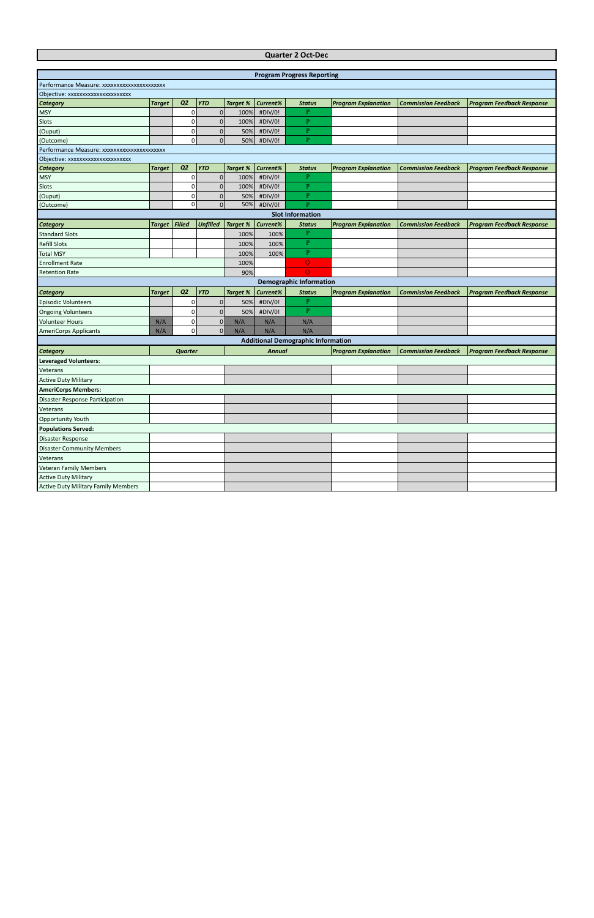## **Quarter 2 Oct-Dec**

|                                             |               |                |                 |                 |               | <b>Program Progress Reporting</b>         |                            |                            |                                  |
|---------------------------------------------|---------------|----------------|-----------------|-----------------|---------------|-------------------------------------------|----------------------------|----------------------------|----------------------------------|
| Performance Measure: xxxxxxxxxxxxxxxxxxxxx  |               |                |                 |                 |               |                                           |                            |                            |                                  |
| Objective: xxxxxxxxxxxxxxxxxxxx             |               |                |                 |                 |               |                                           |                            |                            |                                  |
| <b>Category</b>                             | <b>Target</b> | Q <sub>2</sub> | <b>YTD</b>      | <b>Target %</b> | Current%      | <b>Status</b>                             | <b>Program Explanation</b> | <b>Commission Feedback</b> | <b>Program Feedback Response</b> |
| <b>MSY</b>                                  |               | 0              | $\overline{0}$  | 100%            | #DIV/0!       | P                                         |                            |                            |                                  |
| Slots                                       |               | 0              | $\pmb{0}$       | 100%            | #DIV/0!       | $\overline{P}$                            |                            |                            |                                  |
| (Ouput)                                     |               | 0              | $\mathbf 0$     | 50%             | #DIV/0!       | P                                         |                            |                            |                                  |
| (Outcome)                                   |               | 0              | $\mathbf{0}$    | 50%             | #DIV/0!       | P.                                        |                            |                            |                                  |
| Performance Measure: xxxxxxxxxxxxxxxxxxxxxx |               |                |                 |                 |               |                                           |                            |                            |                                  |
| Objective: xxxxxxxxxxxxxxxxxxxxx            |               |                |                 |                 |               |                                           |                            |                            |                                  |
| <b>Category</b>                             | <b>Target</b> | Q2             | <b>YTD</b>      | <b>Target %</b> | Current%      | <b>Status</b>                             | <b>Program Explanation</b> | <b>Commission Feedback</b> | <b>Program Feedback Response</b> |
| <b>MSY</b>                                  |               | 0              | $\mathbf 0$     | 100%            | #DIV/0!       | P                                         |                            |                            |                                  |
| Slots                                       |               | 0              | $\pmb{0}$       | 100%            | #DIV/0!       | $\overline{P}$                            |                            |                            |                                  |
| (Ouput)                                     |               | 0              | $\mathbf 0$     | 50%             | #DIV/0!       | $\overline{P}$                            |                            |                            |                                  |
| (Outcome)                                   |               | 0              | $\overline{0}$  | 50%             | #DIV/0!       | P                                         |                            |                            |                                  |
|                                             |               |                |                 |                 |               | <b>Slot Information</b>                   |                            |                            |                                  |
| <b>Category</b>                             | <b>Target</b> | Filled         | <b>Unfilled</b> | <b>Target %</b> | Current%      | <b>Status</b>                             | <b>Program Explanation</b> | <b>Commission Feedback</b> | <b>Program Feedback Response</b> |
| <b>Standard Slots</b>                       |               |                |                 | 100%            | 100%          | P                                         |                            |                            |                                  |
| <b>Refill Slots</b>                         |               |                |                 | 100%            | 100%          | $\mathbf{P}$                              |                            |                            |                                  |
| <b>Total MSY</b>                            |               |                |                 | 100%            | 100%          | $\mathbf{P}$                              |                            |                            |                                  |
| <b>Enrollment Rate</b>                      |               |                |                 | 100%            |               | Q                                         |                            |                            |                                  |
| <b>Retention Rate</b>                       |               |                |                 | 90%             |               | $\overline{O}$                            |                            |                            |                                  |
|                                             |               |                |                 |                 |               | <b>Demographic Information</b>            |                            |                            |                                  |
| <b>Category</b>                             | <b>Target</b> | Q <sub>2</sub> | <b>YTD</b>      | <b>Target %</b> | Current%      | <b>Status</b>                             | <b>Program Explanation</b> | <b>Commission Feedback</b> | <b>Program Feedback Response</b> |
| <b>Episodic Volunteers</b>                  |               | 0              | $\pmb{0}$       | 50%             | #DIV/0!       | P                                         |                            |                            |                                  |
| <b>Ongoing Volunteers</b>                   |               | 0              | $\pmb{0}$       | 50%             | #DIV/0!       | $\mathbf{P}$                              |                            |                            |                                  |
| <b>Volunteer Hours</b>                      | N/A           | 0              | $\mathbf 0$     | N/A             | N/A           | N/A                                       |                            |                            |                                  |
| <b>AmeriCorps Applicants</b>                | N/A           | 0              | $\mathbf{0}$    | N/A             | N/A           | N/A                                       |                            |                            |                                  |
|                                             |               |                |                 |                 |               | <b>Additional Demographic Information</b> |                            |                            |                                  |
| <b>Category</b>                             |               | <b>Quarter</b> |                 |                 | <b>Annual</b> |                                           | <b>Program Explanation</b> | <b>Commission Feedback</b> | <b>Program Feedback Response</b> |
| <b>Leveraged Volunteers:</b>                |               |                |                 |                 |               |                                           |                            |                            |                                  |
| Veterans                                    |               |                |                 |                 |               |                                           |                            |                            |                                  |
| <b>Active Duty Military</b>                 |               |                |                 |                 |               |                                           |                            |                            |                                  |
| <b>AmeriCorps Members:</b>                  |               |                |                 |                 |               |                                           |                            |                            |                                  |
| Disaster Response Participation             |               |                |                 |                 |               |                                           |                            |                            |                                  |
| Veterans                                    |               |                |                 |                 |               |                                           |                            |                            |                                  |
| Opportunity Youth                           |               |                |                 |                 |               |                                           |                            |                            |                                  |
| <b>Populations Served:</b>                  |               |                |                 |                 |               |                                           |                            |                            |                                  |
| Disaster Response                           |               |                |                 |                 |               |                                           |                            |                            |                                  |
| <b>Disaster Community Members</b>           |               |                |                 |                 |               |                                           |                            |                            |                                  |
| Veterans                                    |               |                |                 |                 |               |                                           |                            |                            |                                  |
| <b>Veteran Family Members</b>               |               |                |                 |                 |               |                                           |                            |                            |                                  |
| <b>Active Duty Military</b>                 |               |                |                 |                 |               |                                           |                            |                            |                                  |
| <b>Active Duty Military Family Members</b>  |               |                |                 |                 |               |                                           |                            |                            |                                  |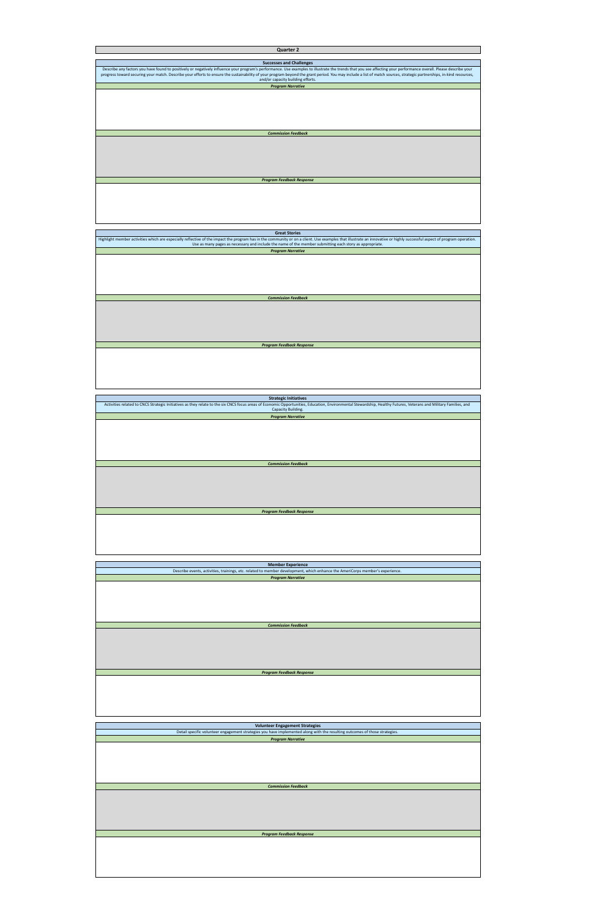| <b>Quarter 2</b>                                                                                                                                                                                                                                          |
|-----------------------------------------------------------------------------------------------------------------------------------------------------------------------------------------------------------------------------------------------------------|
|                                                                                                                                                                                                                                                           |
| <b>Successes and Challenges</b>                                                                                                                                                                                                                           |
| Describe any factors you have found to positively or negatively influence your program's performance. Use examples to illustrate the trends that you see affecting your performance overall. Please describe your                                         |
| progress toward securing your match. Describe your efforts to ensure the sustainability of your program beyond the grant period. You may include a list of match sources, strategic partnerships, in-kind resources,<br>and/or capacity building efforts. |
| <b>Program Narrative</b>                                                                                                                                                                                                                                  |
|                                                                                                                                                                                                                                                           |
|                                                                                                                                                                                                                                                           |
|                                                                                                                                                                                                                                                           |
|                                                                                                                                                                                                                                                           |
|                                                                                                                                                                                                                                                           |
|                                                                                                                                                                                                                                                           |
|                                                                                                                                                                                                                                                           |
| <b>Commission Feedback</b>                                                                                                                                                                                                                                |
|                                                                                                                                                                                                                                                           |
|                                                                                                                                                                                                                                                           |
|                                                                                                                                                                                                                                                           |
|                                                                                                                                                                                                                                                           |
|                                                                                                                                                                                                                                                           |
|                                                                                                                                                                                                                                                           |
| <b>Program Feedback Response</b>                                                                                                                                                                                                                          |
|                                                                                                                                                                                                                                                           |
|                                                                                                                                                                                                                                                           |
|                                                                                                                                                                                                                                                           |
|                                                                                                                                                                                                                                                           |
|                                                                                                                                                                                                                                                           |
|                                                                                                                                                                                                                                                           |
|                                                                                                                                                                                                                                                           |
| <b>Great Stories</b>                                                                                                                                                                                                                                      |
| Highlight member activities which are especially reflective of the impact the program has in the community or on a client. Use examples that illustrate an innovative or highly successful aspect of program operation.                                   |
| Use as many pages as necessary and include the name of the member submitting each story as appropriate.                                                                                                                                                   |
| <b>Program Narrative</b>                                                                                                                                                                                                                                  |
|                                                                                                                                                                                                                                                           |
|                                                                                                                                                                                                                                                           |
|                                                                                                                                                                                                                                                           |
|                                                                                                                                                                                                                                                           |
|                                                                                                                                                                                                                                                           |
|                                                                                                                                                                                                                                                           |
|                                                                                                                                                                                                                                                           |
| <b>Commission Feedback</b>                                                                                                                                                                                                                                |
|                                                                                                                                                                                                                                                           |
|                                                                                                                                                                                                                                                           |
|                                                                                                                                                                                                                                                           |
|                                                                                                                                                                                                                                                           |
|                                                                                                                                                                                                                                                           |
|                                                                                                                                                                                                                                                           |
| <b>Program Feedback Response</b>                                                                                                                                                                                                                          |
|                                                                                                                                                                                                                                                           |
|                                                                                                                                                                                                                                                           |
|                                                                                                                                                                                                                                                           |
|                                                                                                                                                                                                                                                           |
|                                                                                                                                                                                                                                                           |
|                                                                                                                                                                                                                                                           |
|                                                                                                                                                                                                                                                           |
|                                                                                                                                                                                                                                                           |
| <b>Strategic Initiatives</b><br>Activities related to CNCS Strategic Initiatives as they relate to the six CNCS focus areas of Economic Opportunities, Education, Environmental Stewardship, Healthy Futures, Veterans and Military Families, and         |
| Capacity Building.                                                                                                                                                                                                                                        |
| <b>Program Narrative</b>                                                                                                                                                                                                                                  |
|                                                                                                                                                                                                                                                           |
|                                                                                                                                                                                                                                                           |
|                                                                                                                                                                                                                                                           |
|                                                                                                                                                                                                                                                           |
|                                                                                                                                                                                                                                                           |
|                                                                                                                                                                                                                                                           |
|                                                                                                                                                                                                                                                           |
| <b>Commission Feedback</b>                                                                                                                                                                                                                                |
|                                                                                                                                                                                                                                                           |
|                                                                                                                                                                                                                                                           |
|                                                                                                                                                                                                                                                           |
|                                                                                                                                                                                                                                                           |
|                                                                                                                                                                                                                                                           |
|                                                                                                                                                                                                                                                           |
| <b>Program Feedback Response</b>                                                                                                                                                                                                                          |
|                                                                                                                                                                                                                                                           |
|                                                                                                                                                                                                                                                           |
|                                                                                                                                                                                                                                                           |
|                                                                                                                                                                                                                                                           |
|                                                                                                                                                                                                                                                           |
|                                                                                                                                                                                                                                                           |
|                                                                                                                                                                                                                                                           |
|                                                                                                                                                                                                                                                           |
| <b>Member Experience</b>                                                                                                                                                                                                                                  |
| Describe events, activities, trainings, etc. related to member development, which enhance the AmeriCorps member's experience.                                                                                                                             |
| <b>Program Narrative</b>                                                                                                                                                                                                                                  |
|                                                                                                                                                                                                                                                           |
|                                                                                                                                                                                                                                                           |
|                                                                                                                                                                                                                                                           |
|                                                                                                                                                                                                                                                           |
|                                                                                                                                                                                                                                                           |
|                                                                                                                                                                                                                                                           |
|                                                                                                                                                                                                                                                           |

| <b>Volunteer Engagement Strategies</b>                                                                                      |
|-----------------------------------------------------------------------------------------------------------------------------|
| Detail specific volunteer engagement strategies you have implemented along with the resulting outcomes of those strategies. |
| <b>Program Narrative</b>                                                                                                    |
|                                                                                                                             |
|                                                                                                                             |
|                                                                                                                             |
|                                                                                                                             |
|                                                                                                                             |
|                                                                                                                             |
| <b>Commission Feedback</b>                                                                                                  |
|                                                                                                                             |
|                                                                                                                             |
|                                                                                                                             |
|                                                                                                                             |
|                                                                                                                             |
|                                                                                                                             |
|                                                                                                                             |
| <b>Program Feedback Response</b>                                                                                            |
|                                                                                                                             |
|                                                                                                                             |
|                                                                                                                             |
|                                                                                                                             |
|                                                                                                                             |
|                                                                                                                             |

**Program Feedback Re**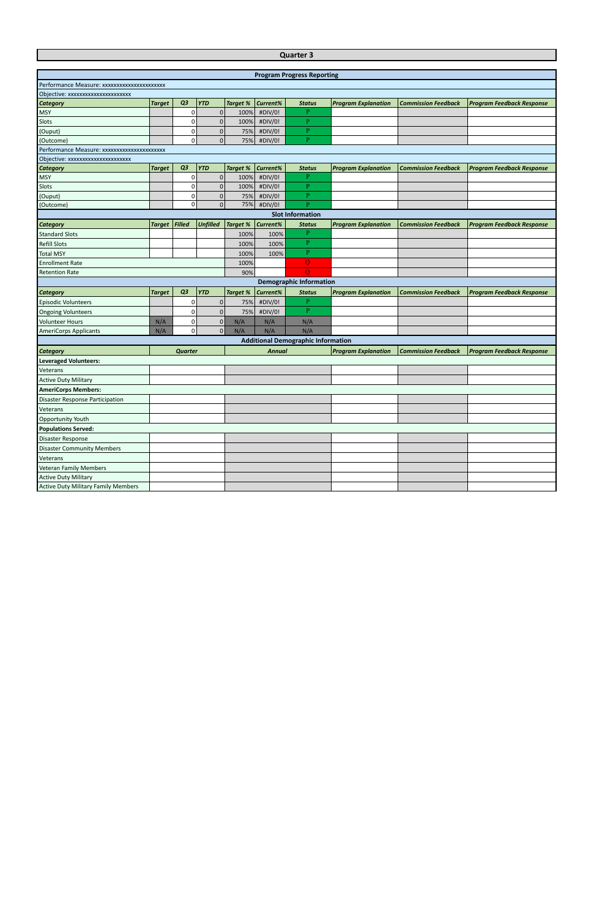|                                             |               |                |                 |                 |               | <b>Quarter 3</b>                          |                            |                            |                                  |
|---------------------------------------------|---------------|----------------|-----------------|-----------------|---------------|-------------------------------------------|----------------------------|----------------------------|----------------------------------|
|                                             |               |                |                 |                 |               |                                           |                            |                            |                                  |
|                                             |               |                |                 |                 |               | <b>Program Progress Reporting</b>         |                            |                            |                                  |
| Performance Measure: xxxxxxxxxxxxxxxxxxxxxx |               |                |                 |                 |               |                                           |                            |                            |                                  |
| Objective: xxxxxxxxxxxxxxxxxxxx             |               |                |                 |                 |               |                                           |                            |                            |                                  |
| <b>Category</b>                             | <b>Target</b> | Q3             | <b>YTD</b>      | <b>Target %</b> | Current%      | <b>Status</b>                             | <b>Program Explanation</b> | <b>Commission Feedback</b> | <b>Program Feedback Response</b> |
| <b>MSY</b>                                  |               | 0              | $\mathbf 0$     | 100%            | #DIV/0!       | P                                         |                            |                            |                                  |
| Slots                                       |               | $\Omega$       | $\mathbf 0$     | 100%            | #DIV/0!       | P.                                        |                            |                            |                                  |
| (Ouput)                                     |               | $\mathbf 0$    | $\mathbf 0$     | 75%             | #DIV/0!       | P.                                        |                            |                            |                                  |
| (Outcome)                                   |               | $\Omega$       | $\mathbf{0}$    | 75%             | #DIV/0!       | $\mathbf{P}$                              |                            |                            |                                  |
| Performance Measure: xxxxxxxxxxxxxxxxxxxxxx |               |                |                 |                 |               |                                           |                            |                            |                                  |
| Objective: xxxxxxxxxxxxxxxxxxxxx            |               |                |                 |                 |               |                                           |                            |                            |                                  |
| <b>Category</b>                             | <b>Target</b> | Q <sub>3</sub> | <b>YTD</b>      | <b>Target %</b> | Current%      | <b>Status</b>                             | <b>Program Explanation</b> | <b>Commission Feedback</b> | <b>Program Feedback Response</b> |
| <b>MSY</b>                                  |               | 0              | $\mathbf 0$     | 100%            | #DIV/0!       | P.                                        |                            |                            |                                  |
| Slots                                       |               | $\mathbf 0$    | $\mathbf{0}$    | 100%            | #DIV/0!       | P.                                        |                            |                            |                                  |
| (Ouput)                                     |               | $\mathbf 0$    | $\pmb{0}$       | 75%             | #DIV/0!       | P.                                        |                            |                            |                                  |
| (Outcome)                                   |               | $\Omega$       | $\Omega$        | 75%             | #DIV/0!       | $\mathbf{P}$                              |                            |                            |                                  |
|                                             |               |                |                 |                 |               | <b>Slot Information</b>                   |                            |                            |                                  |
| <b>Category</b>                             | <b>Target</b> | Filled         | <b>Unfilled</b> | Target %        | Current%      | <b>Status</b>                             | <b>Program Explanation</b> | <b>Commission Feedback</b> | <b>Program Feedback Response</b> |
| <b>Standard Slots</b>                       |               |                |                 | 100%            | 100%          | P.                                        |                            |                            |                                  |
| <b>Refill Slots</b>                         |               |                |                 | 100%            | 100%          | P                                         |                            |                            |                                  |
| <b>Total MSY</b>                            |               |                |                 | 100%            | 100%          | P                                         |                            |                            |                                  |
| <b>Enrollment Rate</b>                      |               |                |                 | 100%            |               | $\overline{Q}$                            |                            |                            |                                  |
| <b>Retention Rate</b>                       |               |                |                 | 90%             |               | $\Omega$                                  |                            |                            |                                  |
|                                             |               |                |                 |                 |               | <b>Demographic Information</b>            |                            |                            |                                  |
| <b>Category</b>                             | <b>Target</b> | Q3             | <b>YTD</b>      | <b>Target %</b> | Current%      | <b>Status</b>                             | <b>Program Explanation</b> | <b>Commission Feedback</b> | <b>Program Feedback Response</b> |
| <b>Episodic Volunteers</b>                  |               | 0              | $\mathbf 0$     | 75%             | #DIV/0!       | $\mathbf{P}$                              |                            |                            |                                  |
| <b>Ongoing Volunteers</b>                   |               | $\mathbf 0$    | $\mathbf 0$     | 75%             | #DIV/0!       | $\mathbf{P}$                              |                            |                            |                                  |
| <b>Volunteer Hours</b>                      | N/A           | 0              | $\mathbf 0$     | N/A             | N/A           | N/A                                       |                            |                            |                                  |
| <b>AmeriCorps Applicants</b>                | N/A           | $\Omega$       | $\Omega$        | N/A             | N/A           | N/A                                       |                            |                            |                                  |
|                                             |               |                |                 |                 |               | <b>Additional Demographic Information</b> |                            |                            |                                  |
| Category                                    |               | <b>Quarter</b> |                 |                 | <b>Annual</b> |                                           | <b>Program Explanation</b> | <b>Commission Feedback</b> | <b>Program Feedback Response</b> |
| <b>Leveraged Volunteers:</b>                |               |                |                 |                 |               |                                           |                            |                            |                                  |
| Veterans                                    |               |                |                 |                 |               |                                           |                            |                            |                                  |
| <b>Active Duty Military</b>                 |               |                |                 |                 |               |                                           |                            |                            |                                  |

**Opportunity Youth Populations Served:** Disaster Response

**AmeriCorps Members:**

Disaster Response Participation

Veterans

Disaster Community Members

Veterans

Veteran Family Members Active Duty Military

Active Duty Military Family Members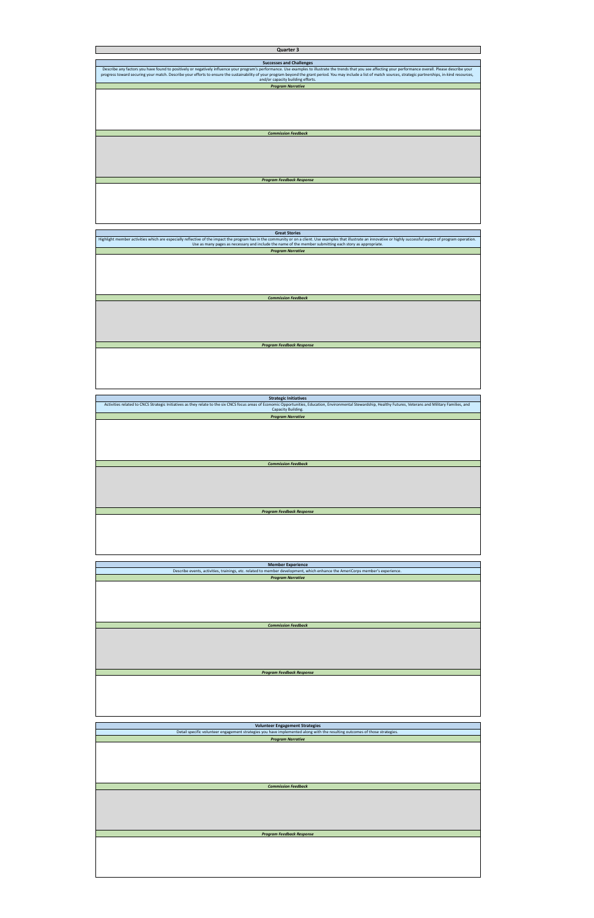| Quarter 3                                                                                                                                                                                                                                                                                                                                                                                                                                 |
|-------------------------------------------------------------------------------------------------------------------------------------------------------------------------------------------------------------------------------------------------------------------------------------------------------------------------------------------------------------------------------------------------------------------------------------------|
|                                                                                                                                                                                                                                                                                                                                                                                                                                           |
| <b>Successes and Challenges</b>                                                                                                                                                                                                                                                                                                                                                                                                           |
| Describe any factors you have found to positively or negatively influence your program's performance. Use examples to illustrate the trends that you see affecting your performance overall. Please describe your<br>progress toward securing your match. Describe your efforts to ensure the sustainability of your program beyond the grant period. You may include a list of match sources, strategic partnerships, in-kind resources, |
| and/or capacity building efforts.                                                                                                                                                                                                                                                                                                                                                                                                         |
| <b>Program Narrative</b>                                                                                                                                                                                                                                                                                                                                                                                                                  |
|                                                                                                                                                                                                                                                                                                                                                                                                                                           |
|                                                                                                                                                                                                                                                                                                                                                                                                                                           |
|                                                                                                                                                                                                                                                                                                                                                                                                                                           |
|                                                                                                                                                                                                                                                                                                                                                                                                                                           |
|                                                                                                                                                                                                                                                                                                                                                                                                                                           |
|                                                                                                                                                                                                                                                                                                                                                                                                                                           |
| <b>Commission Feedback</b>                                                                                                                                                                                                                                                                                                                                                                                                                |
|                                                                                                                                                                                                                                                                                                                                                                                                                                           |
|                                                                                                                                                                                                                                                                                                                                                                                                                                           |
|                                                                                                                                                                                                                                                                                                                                                                                                                                           |
|                                                                                                                                                                                                                                                                                                                                                                                                                                           |
|                                                                                                                                                                                                                                                                                                                                                                                                                                           |
| <b>Program Feedback Response</b>                                                                                                                                                                                                                                                                                                                                                                                                          |
|                                                                                                                                                                                                                                                                                                                                                                                                                                           |
|                                                                                                                                                                                                                                                                                                                                                                                                                                           |
|                                                                                                                                                                                                                                                                                                                                                                                                                                           |
|                                                                                                                                                                                                                                                                                                                                                                                                                                           |
|                                                                                                                                                                                                                                                                                                                                                                                                                                           |
|                                                                                                                                                                                                                                                                                                                                                                                                                                           |
|                                                                                                                                                                                                                                                                                                                                                                                                                                           |
| <b>Great Stories</b><br>Highlight member activities which are especially reflective of the impact the program has in the community or on a client. Use examples that illustrate an innovative or highly successful aspect of program operation.                                                                                                                                                                                           |
| Use as many pages as necessary and include the name of the member submitting each story as appropriate.                                                                                                                                                                                                                                                                                                                                   |
| <b>Program Narrative</b>                                                                                                                                                                                                                                                                                                                                                                                                                  |
|                                                                                                                                                                                                                                                                                                                                                                                                                                           |
|                                                                                                                                                                                                                                                                                                                                                                                                                                           |
|                                                                                                                                                                                                                                                                                                                                                                                                                                           |
|                                                                                                                                                                                                                                                                                                                                                                                                                                           |
|                                                                                                                                                                                                                                                                                                                                                                                                                                           |
|                                                                                                                                                                                                                                                                                                                                                                                                                                           |
| <b>Commission Feedback</b>                                                                                                                                                                                                                                                                                                                                                                                                                |
|                                                                                                                                                                                                                                                                                                                                                                                                                                           |
|                                                                                                                                                                                                                                                                                                                                                                                                                                           |
|                                                                                                                                                                                                                                                                                                                                                                                                                                           |
|                                                                                                                                                                                                                                                                                                                                                                                                                                           |
|                                                                                                                                                                                                                                                                                                                                                                                                                                           |
| <b>Program Feedback Response</b>                                                                                                                                                                                                                                                                                                                                                                                                          |
|                                                                                                                                                                                                                                                                                                                                                                                                                                           |
|                                                                                                                                                                                                                                                                                                                                                                                                                                           |
|                                                                                                                                                                                                                                                                                                                                                                                                                                           |
|                                                                                                                                                                                                                                                                                                                                                                                                                                           |
|                                                                                                                                                                                                                                                                                                                                                                                                                                           |
|                                                                                                                                                                                                                                                                                                                                                                                                                                           |
|                                                                                                                                                                                                                                                                                                                                                                                                                                           |
| <b>Strategic Initiatives</b><br>Activities related to CNCS Strategic Initiatives as they relate to the six CNCS focus areas of Economic Opportunities, Education, Environmental Stewardship, Healthy Futures, Veterans and Military Families, and                                                                                                                                                                                         |
| Capacity Building.                                                                                                                                                                                                                                                                                                                                                                                                                        |
| <b>Program Narrative</b>                                                                                                                                                                                                                                                                                                                                                                                                                  |
|                                                                                                                                                                                                                                                                                                                                                                                                                                           |
|                                                                                                                                                                                                                                                                                                                                                                                                                                           |
|                                                                                                                                                                                                                                                                                                                                                                                                                                           |
|                                                                                                                                                                                                                                                                                                                                                                                                                                           |
|                                                                                                                                                                                                                                                                                                                                                                                                                                           |
|                                                                                                                                                                                                                                                                                                                                                                                                                                           |
| <b>Commission Feedback</b>                                                                                                                                                                                                                                                                                                                                                                                                                |
|                                                                                                                                                                                                                                                                                                                                                                                                                                           |
|                                                                                                                                                                                                                                                                                                                                                                                                                                           |
|                                                                                                                                                                                                                                                                                                                                                                                                                                           |
|                                                                                                                                                                                                                                                                                                                                                                                                                                           |
|                                                                                                                                                                                                                                                                                                                                                                                                                                           |
|                                                                                                                                                                                                                                                                                                                                                                                                                                           |
| <b>Program Feedback Response</b>                                                                                                                                                                                                                                                                                                                                                                                                          |
|                                                                                                                                                                                                                                                                                                                                                                                                                                           |
|                                                                                                                                                                                                                                                                                                                                                                                                                                           |
|                                                                                                                                                                                                                                                                                                                                                                                                                                           |
|                                                                                                                                                                                                                                                                                                                                                                                                                                           |
|                                                                                                                                                                                                                                                                                                                                                                                                                                           |
|                                                                                                                                                                                                                                                                                                                                                                                                                                           |
| <b>Member Experience</b>                                                                                                                                                                                                                                                                                                                                                                                                                  |
| Describe events, activities, trainings, etc. related to member development, which enhance the AmeriCorps member's experience.                                                                                                                                                                                                                                                                                                             |
| <b>Program Narrative</b>                                                                                                                                                                                                                                                                                                                                                                                                                  |
|                                                                                                                                                                                                                                                                                                                                                                                                                                           |
|                                                                                                                                                                                                                                                                                                                                                                                                                                           |
|                                                                                                                                                                                                                                                                                                                                                                                                                                           |
|                                                                                                                                                                                                                                                                                                                                                                                                                                           |
|                                                                                                                                                                                                                                                                                                                                                                                                                                           |
|                                                                                                                                                                                                                                                                                                                                                                                                                                           |
| <b>Commission Feedback</b>                                                                                                                                                                                                                                                                                                                                                                                                                |

| <b>Volunteer Engagement Strategies</b>                                                                                      |
|-----------------------------------------------------------------------------------------------------------------------------|
| Detail specific volunteer engagement strategies you have implemented along with the resulting outcomes of those strategies. |
| <b>Program Narrative</b>                                                                                                    |
|                                                                                                                             |
|                                                                                                                             |
|                                                                                                                             |
|                                                                                                                             |
|                                                                                                                             |
|                                                                                                                             |
| <b>Commission Feedback</b>                                                                                                  |
|                                                                                                                             |
|                                                                                                                             |
|                                                                                                                             |
|                                                                                                                             |
|                                                                                                                             |
|                                                                                                                             |
|                                                                                                                             |
| <b>Program Feedback Response</b>                                                                                            |
|                                                                                                                             |
|                                                                                                                             |
|                                                                                                                             |
|                                                                                                                             |
|                                                                                                                             |
|                                                                                                                             |

**Program Feedback Res**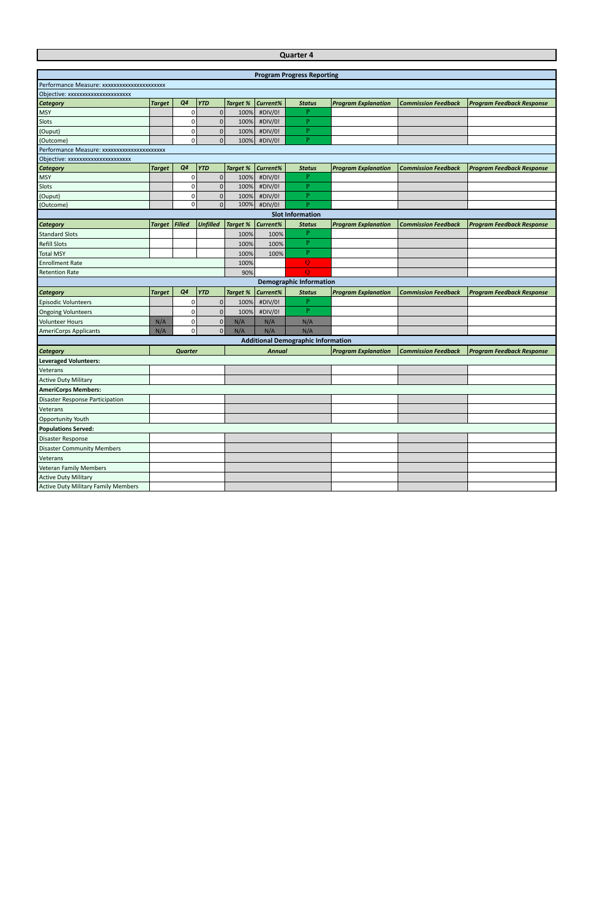| <b>Program Progress Reporting</b><br>Performance Measure: xxxxxxxxxxxxxxxxxxxxxx<br>Objective: xxxxxxxxxxxxxxxxxxxxx<br>Q <sub>4</sub><br><b>YTD</b><br><b>Target %</b><br>Current%<br><b>Program Explanation</b><br><b>Category</b><br><b>Target</b><br><b>Status</b><br><b>Commission Feedback</b><br><b>Program Feedback Response</b><br>$\overline{0}$<br>#DIV/0!<br>P<br>MSY<br>0<br>100%<br>$\pmb{0}$<br>$\mathbf{P}$<br>Slots<br>0<br>#DIV/0!<br>100%<br>$\mathbf{P}$<br>$\mathbf 0$<br>#DIV/0!<br>(Ouput)<br>0<br>100%<br>$\mathbf{0}$<br>$\overline{0}$<br>P<br>100%<br>#DIV/0!<br>(Outcome)<br>Performance Measure: xxxxxxxxxxxxxxxxxxxxxx<br>Objective: xxxxxxxxxxxxxxxxxxxxx<br>Q <sub>4</sub><br><b>YTD</b><br>Current%<br><b>Category</b><br><b>Target</b><br><b>Target %</b><br><b>Program Explanation</b><br><b>Commission Feedback</b><br><b>Program Feedback Response</b><br><b>Status</b><br>$\overline{0}$<br>P<br>0 |            |  |      |         | <b>Quarter 4</b> |  |  |
|------------------------------------------------------------------------------------------------------------------------------------------------------------------------------------------------------------------------------------------------------------------------------------------------------------------------------------------------------------------------------------------------------------------------------------------------------------------------------------------------------------------------------------------------------------------------------------------------------------------------------------------------------------------------------------------------------------------------------------------------------------------------------------------------------------------------------------------------------------------------------------------------------------------------------------------|------------|--|------|---------|------------------|--|--|
|                                                                                                                                                                                                                                                                                                                                                                                                                                                                                                                                                                                                                                                                                                                                                                                                                                                                                                                                          |            |  |      |         |                  |  |  |
|                                                                                                                                                                                                                                                                                                                                                                                                                                                                                                                                                                                                                                                                                                                                                                                                                                                                                                                                          |            |  |      |         |                  |  |  |
|                                                                                                                                                                                                                                                                                                                                                                                                                                                                                                                                                                                                                                                                                                                                                                                                                                                                                                                                          |            |  |      |         |                  |  |  |
|                                                                                                                                                                                                                                                                                                                                                                                                                                                                                                                                                                                                                                                                                                                                                                                                                                                                                                                                          |            |  |      |         |                  |  |  |
|                                                                                                                                                                                                                                                                                                                                                                                                                                                                                                                                                                                                                                                                                                                                                                                                                                                                                                                                          |            |  |      |         |                  |  |  |
|                                                                                                                                                                                                                                                                                                                                                                                                                                                                                                                                                                                                                                                                                                                                                                                                                                                                                                                                          |            |  |      |         |                  |  |  |
|                                                                                                                                                                                                                                                                                                                                                                                                                                                                                                                                                                                                                                                                                                                                                                                                                                                                                                                                          |            |  |      |         |                  |  |  |
|                                                                                                                                                                                                                                                                                                                                                                                                                                                                                                                                                                                                                                                                                                                                                                                                                                                                                                                                          |            |  |      |         |                  |  |  |
|                                                                                                                                                                                                                                                                                                                                                                                                                                                                                                                                                                                                                                                                                                                                                                                                                                                                                                                                          |            |  |      |         |                  |  |  |
|                                                                                                                                                                                                                                                                                                                                                                                                                                                                                                                                                                                                                                                                                                                                                                                                                                                                                                                                          |            |  |      |         |                  |  |  |
|                                                                                                                                                                                                                                                                                                                                                                                                                                                                                                                                                                                                                                                                                                                                                                                                                                                                                                                                          |            |  |      |         |                  |  |  |
|                                                                                                                                                                                                                                                                                                                                                                                                                                                                                                                                                                                                                                                                                                                                                                                                                                                                                                                                          |            |  |      |         |                  |  |  |
|                                                                                                                                                                                                                                                                                                                                                                                                                                                                                                                                                                                                                                                                                                                                                                                                                                                                                                                                          | <b>MSY</b> |  | 100% | #DIV/0! |                  |  |  |
| $\pmb{0}$<br>P<br>Slots<br>0<br>100%<br>#DIV/0!                                                                                                                                                                                                                                                                                                                                                                                                                                                                                                                                                                                                                                                                                                                                                                                                                                                                                          |            |  |      |         |                  |  |  |
| $\mathbf 0$<br>$\mathbf{P}$<br>0<br>#DIV/0!<br>(Ouput)<br>100%                                                                                                                                                                                                                                                                                                                                                                                                                                                                                                                                                                                                                                                                                                                                                                                                                                                                           |            |  |      |         |                  |  |  |
| 0<br>P<br>$\mathbf{0}$<br>100%<br>#DIV/0!<br>(Outcome)                                                                                                                                                                                                                                                                                                                                                                                                                                                                                                                                                                                                                                                                                                                                                                                                                                                                                   |            |  |      |         |                  |  |  |
| <b>Slot Information</b>                                                                                                                                                                                                                                                                                                                                                                                                                                                                                                                                                                                                                                                                                                                                                                                                                                                                                                                  |            |  |      |         |                  |  |  |
| Filled<br><b>Unfilled</b><br>Current%<br><b>Target %</b><br><b>Program Explanation</b><br><b>Commission Feedback</b><br><b>Program Feedback Response</b><br><b>Category</b><br><b>Target</b><br><b>Status</b>                                                                                                                                                                                                                                                                                                                                                                                                                                                                                                                                                                                                                                                                                                                            |            |  |      |         |                  |  |  |
| $\mathbf{P}$<br><b>Standard Slots</b><br>100%<br>100%                                                                                                                                                                                                                                                                                                                                                                                                                                                                                                                                                                                                                                                                                                                                                                                                                                                                                    |            |  |      |         |                  |  |  |
| $\mathbf{P}$<br><b>Refill Slots</b><br>100%<br>100%                                                                                                                                                                                                                                                                                                                                                                                                                                                                                                                                                                                                                                                                                                                                                                                                                                                                                      |            |  |      |         |                  |  |  |
| $\mathbf{P}$<br><b>Total MSY</b><br>100%<br>100%                                                                                                                                                                                                                                                                                                                                                                                                                                                                                                                                                                                                                                                                                                                                                                                                                                                                                         |            |  |      |         |                  |  |  |
| Q<br><b>Enrollment Rate</b><br>100%                                                                                                                                                                                                                                                                                                                                                                                                                                                                                                                                                                                                                                                                                                                                                                                                                                                                                                      |            |  |      |         |                  |  |  |
| $\overline{O}$<br><b>Retention Rate</b><br>90%                                                                                                                                                                                                                                                                                                                                                                                                                                                                                                                                                                                                                                                                                                                                                                                                                                                                                           |            |  |      |         |                  |  |  |
| <b>Demographic Information</b>                                                                                                                                                                                                                                                                                                                                                                                                                                                                                                                                                                                                                                                                                                                                                                                                                                                                                                           |            |  |      |         |                  |  |  |
| Q <sub>4</sub><br><b>YTD</b><br><b>Target %</b><br>Current%<br><b>Target</b><br><b>Status</b><br><b>Program Explanation</b><br><b>Commission Feedback</b><br><b>Program Feedback Response</b><br><b>Category</b>                                                                                                                                                                                                                                                                                                                                                                                                                                                                                                                                                                                                                                                                                                                         |            |  |      |         |                  |  |  |
| P<br>$\pmb{0}$<br><b>Episodic Volunteers</b><br>100%<br>#DIV/0!<br>0                                                                                                                                                                                                                                                                                                                                                                                                                                                                                                                                                                                                                                                                                                                                                                                                                                                                     |            |  |      |         |                  |  |  |
| $\mathbf{P}$<br>$\pmb{0}$<br>0<br>100%<br>#DIV/0!<br><b>Ongoing Volunteers</b>                                                                                                                                                                                                                                                                                                                                                                                                                                                                                                                                                                                                                                                                                                                                                                                                                                                           |            |  |      |         |                  |  |  |
| 0<br>$\pmb{0}$<br><b>Volunteer Hours</b><br>N/A<br>N/A<br>N/A<br>N/A                                                                                                                                                                                                                                                                                                                                                                                                                                                                                                                                                                                                                                                                                                                                                                                                                                                                     |            |  |      |         |                  |  |  |
| 0<br>$\mathbf{0}$<br>N/A<br>N/A<br>N/A<br><b>AmeriCorps Applicants</b><br>N/A                                                                                                                                                                                                                                                                                                                                                                                                                                                                                                                                                                                                                                                                                                                                                                                                                                                            |            |  |      |         |                  |  |  |
| <b>Additional Demographic Information</b>                                                                                                                                                                                                                                                                                                                                                                                                                                                                                                                                                                                                                                                                                                                                                                                                                                                                                                |            |  |      |         |                  |  |  |
| <b>Program Explanation</b><br><b>Commission Feedback</b><br><b>Program Feedback Response</b><br><b>Category</b><br>Quarter<br><b>Annual</b>                                                                                                                                                                                                                                                                                                                                                                                                                                                                                                                                                                                                                                                                                                                                                                                              |            |  |      |         |                  |  |  |
| <b>Leveraged Volunteers:</b>                                                                                                                                                                                                                                                                                                                                                                                                                                                                                                                                                                                                                                                                                                                                                                                                                                                                                                             |            |  |      |         |                  |  |  |
| Veterans                                                                                                                                                                                                                                                                                                                                                                                                                                                                                                                                                                                                                                                                                                                                                                                                                                                                                                                                 |            |  |      |         |                  |  |  |
| <b>Active Duty Military</b>                                                                                                                                                                                                                                                                                                                                                                                                                                                                                                                                                                                                                                                                                                                                                                                                                                                                                                              |            |  |      |         |                  |  |  |
| <b>AmeriCorps Members:</b>                                                                                                                                                                                                                                                                                                                                                                                                                                                                                                                                                                                                                                                                                                                                                                                                                                                                                                               |            |  |      |         |                  |  |  |
| Disaster Response Participation                                                                                                                                                                                                                                                                                                                                                                                                                                                                                                                                                                                                                                                                                                                                                                                                                                                                                                          |            |  |      |         |                  |  |  |
| Veterans                                                                                                                                                                                                                                                                                                                                                                                                                                                                                                                                                                                                                                                                                                                                                                                                                                                                                                                                 |            |  |      |         |                  |  |  |
| Opportunity Youth                                                                                                                                                                                                                                                                                                                                                                                                                                                                                                                                                                                                                                                                                                                                                                                                                                                                                                                        |            |  |      |         |                  |  |  |
| <b>Populations Served:</b>                                                                                                                                                                                                                                                                                                                                                                                                                                                                                                                                                                                                                                                                                                                                                                                                                                                                                                               |            |  |      |         |                  |  |  |
| Disaster Response                                                                                                                                                                                                                                                                                                                                                                                                                                                                                                                                                                                                                                                                                                                                                                                                                                                                                                                        |            |  |      |         |                  |  |  |
| <b>Disaster Community Members</b>                                                                                                                                                                                                                                                                                                                                                                                                                                                                                                                                                                                                                                                                                                                                                                                                                                                                                                        |            |  |      |         |                  |  |  |
| Veterans                                                                                                                                                                                                                                                                                                                                                                                                                                                                                                                                                                                                                                                                                                                                                                                                                                                                                                                                 |            |  |      |         |                  |  |  |

Veteran Family Members Active Duty Military

Active Duty Military Family Members